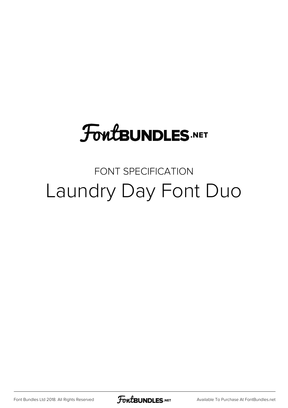# **FoutBUNDLES.NET**

#### FONT SPECIFICATION Laundry Day Font Duo

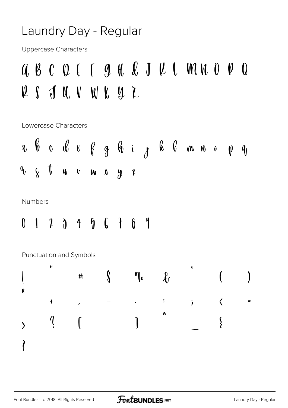#### Laundry Day - Regular

**Uppercase Characters** 

$$
G \otimes C \otimes C \otimes F \otimes H \otimes T \otimes T \otimes T \otimes T \otimes T
$$

Lowercase Characters

**Numbers** 

 $0$  1 2  $\bar{0}$  4  $\bar{0}$  6 7  $\bar{0}$  9

Punctuation and Symbols

|  |                                                                                                                                                                                                                                                                                                                                                                                                              | $# \qquad \int \qquad \eta_0 \qquad \oint$ |  | $($ $)$ |  |
|--|--------------------------------------------------------------------------------------------------------------------------------------------------------------------------------------------------------------------------------------------------------------------------------------------------------------------------------------------------------------------------------------------------------------|--------------------------------------------|--|---------|--|
|  | $+$ , $-$ . $\vdots$ ; $\langle$ =                                                                                                                                                                                                                                                                                                                                                                           |                                            |  |         |  |
|  | $\begin{array}{ccccccccccccc} \searrow & & \hat{a} & & \hat{a} & & \hat{a} & & \hat{a} & & \hat{a} & & \hat{a} & & \hat{a} & & \hat{a} & & \hat{a} & & \hat{a} & & \hat{a} & & \hat{a} & & \hat{a} & & \hat{a} & & \hat{a} & & \hat{a} & & \hat{a} & & \hat{a} & & \hat{a} & & \hat{a} & & \hat{a} & & \hat{a} & & \hat{a} & & \hat{a} & & \hat{a} & & \hat{a} & & \hat{a} & & \hat{a} & & \hat{a} & & \hat$ |                                            |  |         |  |
|  |                                                                                                                                                                                                                                                                                                                                                                                                              |                                            |  |         |  |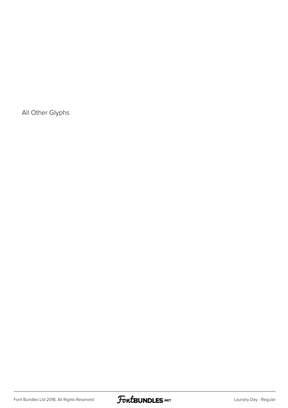

All Other Glyphs

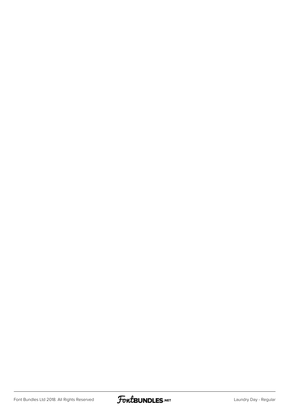

ÿ

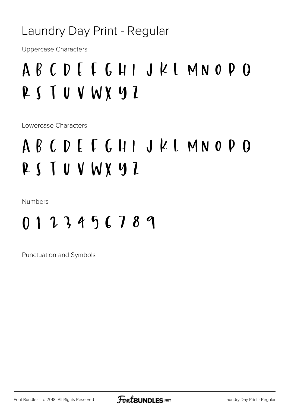Laundry Day Print - Regular

**Uppercase Characters** 

### ABCDEFGHIJKLMNOPQ RSTUVWX92

Lowercase Characters

## ABCDEFGHIJKLMNOPQ RSTUVWX92

**Numbers** 

#### 0123456789

Punctuation and Symbols

|  |  | $\frac{1}{2}$ " # \$ % & ' ( ) |  |  |
|--|--|--------------------------------|--|--|
|  |  | $+$ , - . : ; < =              |  |  |
|  |  | $> ? [ ) ]^{\wedge} _{-} \{  $ |  |  |
|  |  | $\}$ j $\phi$ £ ¤ \ i § "      |  |  |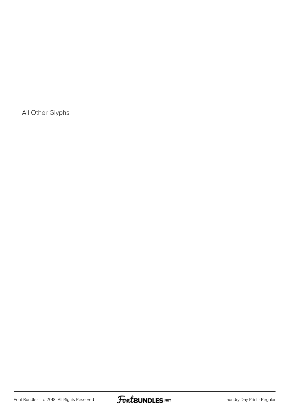

All Other Glyphs

|  | A A A A A A Æ C E                                                                         |  |  |  |
|--|-------------------------------------------------------------------------------------------|--|--|--|
|  |                                                                                           |  |  |  |
|  | $\begin{array}{ccccccccccccccccccccc} 0 & 0 & 0 & 0 & 0 & \times & 0 & 0 & 0 \end{array}$ |  |  |  |
|  | $U$ $U$ $Y$ $D$ $S$ $A$ $A$ $A$ $A$                                                       |  |  |  |
|  | AAæCEEEI                                                                                  |  |  |  |